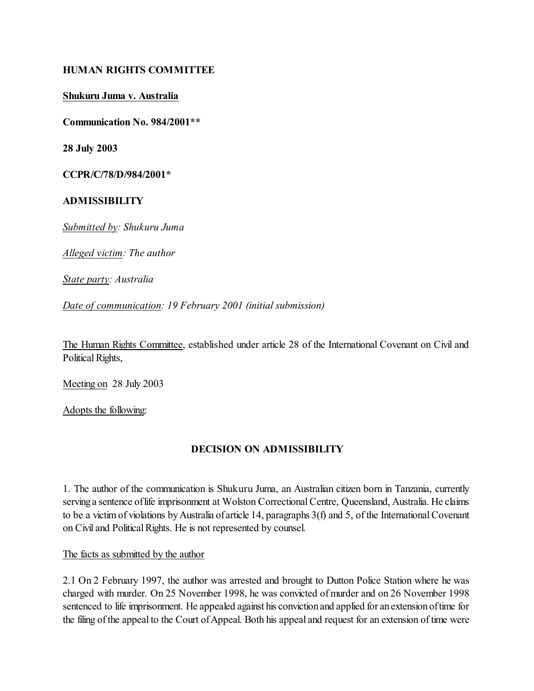### **HUMAN RIGHTS COMMITTEE**

#### **Shukuru Juma v. Australia**

**Communication No. 984/2001\*\***

**28 July 2003**

**CCPR/C/78/D/984/2001\***

### **ADMISSIBILITY**

*Submitted by: Shukuru Juma*

*Alleged victim: The author*

*State party: Australia*

*Date of communication: 19 February 2001 (initial submission)*

The Human Rights Committee, established under article 28 of the International Covenant on Civil and Political Rights,

Meeting on 28 July 2003

Adopts the following:

## **DECISION ON ADMISSIBILITY**

1. The author of the communication is Shukuru Juma, an Australian citizen born in Tanzania, currently serving a sentence of life imprisonment at Wolston Correctional Centre, Queensland, Australia. He claims to be a victim of violations byAustralia ofarticle 14, paragraphs 3(f) and 5, of the International Covenant on Civil and Political Rights. He is not represented by counsel.

The facts as submitted by the author

2.1 On 2 February 1997, the author was arrested and brought to Dutton Police Station where he was charged with murder. On 25 November 1998, he was convicted of murder and on 26 November 1998 sentenced to life imprisonment. He appealed against his conviction and applied for an extension of time for the filing of the appeal to the Court ofAppeal. Both his appeal and request for an extension of time were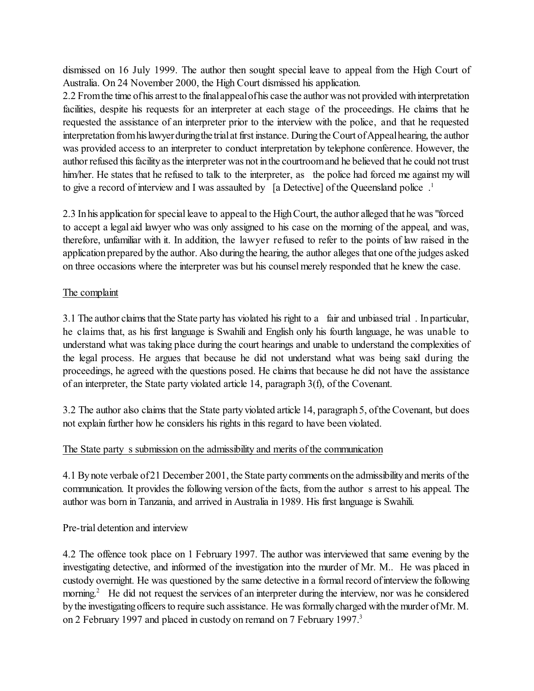dismissed on 16 July 1999. The author then sought special leave to appeal from the High Court of Australia. On 24 November 2000, the High Court dismissed his application.

2.2 From the time of his arrest to the final appeal of his case the author was not provided with interpretation facilities, despite his requests for an interpreter at each stage of the proceedings. He claims that he requested the assistance of an interpreter prior to the interview with the police, and that he requested interpretation from hislawyerduringthe trial at first instance. During the Court of Appeal hearing, the author was provided access to an interpreter to conduct interpretation by telephone conference. However, the author refused this facility as the interpreter was not in the courtroom and he believed that he could not trust him/her. He states that he refused to talk to the interpreter, as the police had forced me against my will to give a record of interview and I was assaulted by [a Detective] of the Queensland police.<sup>1</sup>

2.3 In his application for special leave to appeal to the High Court, the author alleged that he was "forced" to accept a legal aid lawyer who was only assigned to his case on the morning of the appeal, and was, therefore, unfamiliar with it. In addition, the lawyer refused to refer to the points of law raised in the application prepared by the author. Also during the hearing, the author alleges that one of the judges asked on three occasions where the interpreter was but his counsel merely responded that he knew the case.

# The complaint

3.1 The author claims that the State party has violated his right to a "fair and unbiased trial . Inparticular, he claims that, as his first language is Swahili and English only his fourth language, he was unable to understand what was taking place during the court hearings and unable to understand the complexities of the legal process. He argues that because he did not understand what was being said during the proceedings, he agreed with the questions posed. He claims that because he did not have the assistance of an interpreter, the State party violated article 14, paragraph 3(f), of the Covenant.

3.2 The author also claims that the State partyviolated article 14, paragraph5, ofthe Covenant, but does not explain further how he considers his rights in this regard to have been violated.

## The State party's submission on the admissibility and merits of the communication

4.1 By note verbale of 21 December 2001, the State party comments on the admissibility and merits of the communication. It provides the following version of the facts, from the author s arrest to his appeal. The author was born in Tanzania, and arrived in Australia in 1989. His first language is Swahili.

Pre-trial detention and interview

4.2 The offence took place on 1 February 1997. The author was interviewed that same evening by the investigating detective, and informed of the investigation into the murder of Mr. M.. He was placed in custody overnight. He was questioned by the same detective in a formal record ofinterview the following morning.<sup>2</sup> He did not request the services of an interpreter during the interview, nor was he considered by the investigating officers to require such assistance. He was formally charged with the murder of Mr. M. on 2 February 1997 and placed in custody on remand on 7 February 1997.<sup>3</sup>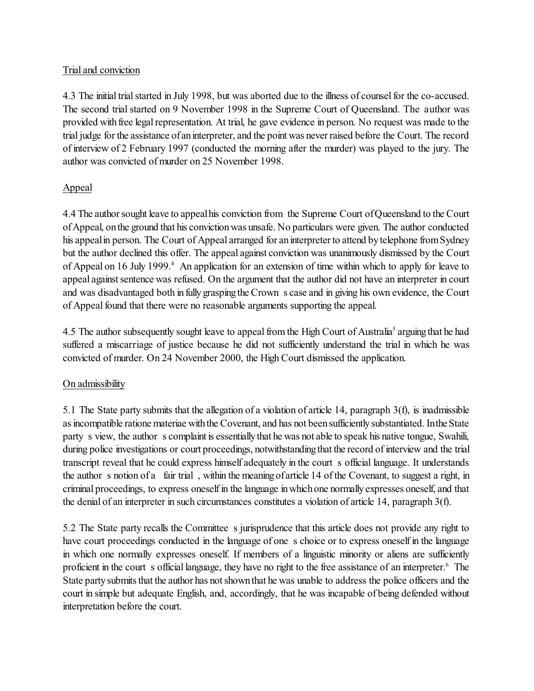## Trial and conviction

4.3 The initial trial started in July 1998, but was aborted due to the illness of counsel for the co-accused. The second trial started on 9 November 1998 in the Supreme Court of Queensland. The author was provided with free legal representation. At trial, he gave evidence in person. No request was made to the trial judge for the assistance of an interpreter, and the point was never raised before the Court. The record of interview of 2 February 1997 (conducted the morning after the murder) was played to the jury. The author was convicted of murder on 25 November 1998.

# Appeal

4.4 The author sought leave to appeal his conviction from the Supreme Court of Queensland to the Court of Appeal, on the ground that his conviction was unsafe. No particulars were given. The author conducted his appeal in person. The Court of Appeal arranged for an interpreter to attend by telephone from Sydney but the author declined this offer. The appeal against conviction was unanimously dismissed by the Court of Appeal on 16 July 1999.<sup>4</sup> An application for an extension of time within which to apply for leave to appeal against sentence was refused. On the argument that the author did not have an interpreter in court and was disadvantaged both in fully grasping the Crown s case and in giving his own evidence, the Court of Appeal found that there were no reasonable arguments supporting the appeal.

4.5 The author subsequently sought leave to appeal from the High Court of Australia<sup>5</sup> arguing that he had suffered a miscarriage of justice because he did not sufficiently understand the trial in which he was convicted of murder. On 24 November 2000, the High Court dismissed the application.

## On admissibility

5.1 The State party submits that the allegation of a violation of article 14, paragraph 3(f), is inadmissible as incompatible ratione materiae with the Covenant, and has not been sufficiently substantiated. IntheState party's view, the author's complaint is essentially that he was not able to speak his native tongue, Swahili, during police investigations or court proceedings, notwithstanding that the record of interview and the trial transcript reveal that he could express himself adequately in the court s official language. It understands the author's notion of a 'fair trial', within the meaning of article 14 of the Covenant, to suggest a right, in criminal proceedings, to express oneself in the language inwhichone normallyexpresses oneself, and that the denial of an interpreter in such circumstances constitutes a violation of article 14, paragraph 3(f).

5.2 The State party recalls the Committee s jurisprudence that this article does not provide any right to have court proceedings conducted in the language of one's choice or to express oneself in the language in which one normally expresses oneself. If members of a linguistic minority or aliens are sufficiently proficient in the court s official language, they have no right to the free assistance of an interpreter.<sup>6</sup> The State party submits that the author has not shown that he was unable to address the police officers and the court in simple but adequate English, and, accordingly, that he was incapable of being defended without interpretation before the court.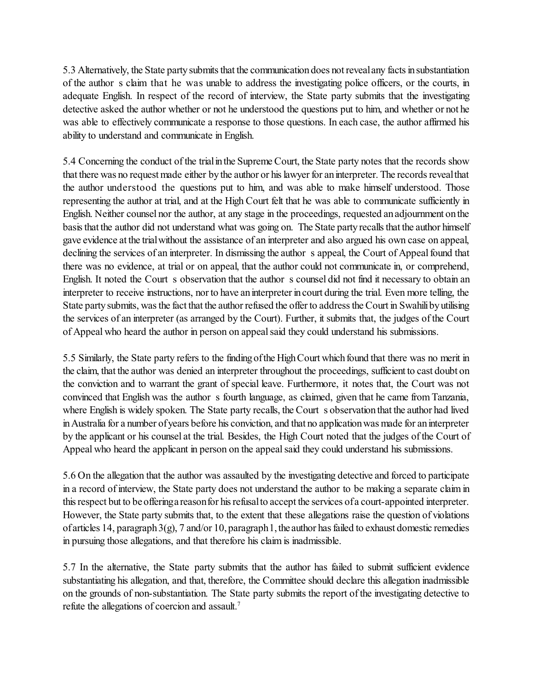5.3 Alternatively, the State party submits that the communication does not reveal any facts in substantiation of the author's claim that he was unable to address the investigating police officers, or the courts, in adequate English. In respect of the record of interview, the State party submits that the investigating detective asked the author whether or not he understood the questions put to him, and whether or not he was able to effectively communicate a response to those questions. In each case, the author affirmed his ability to understand and communicate in English.

5.4 Concerning the conduct of the trialinthe Supreme Court, the State party notes that the records show that there was no request made either by the author or his lawyer for an interpreter. The records reveal that the author understood the questions put to him, and was able to make himself understood. Those representing the author at trial, and at the High Court felt that he was able to communicate sufficiently in English. Neither counsel nor the author, at any stage in the proceedings, requested anadjournment onthe basis that the author did not understand what was going on. The State party recalls that the author himself gave evidence at the trialwithout the assistance of an interpreter and also argued his own case on appeal, declining the services of an interpreter. In dismissing the author's appeal, the Court of Appeal found that there was no evidence, at trial or on appeal, that the author could not communicate in, or comprehend, English. It noted the Court's observation that the author's counsel did not find it necessary to obtain an interpreter to receive instructions, nor to have aninterpreter incourt during the trial. Even more telling, the State party submits, was the fact that the author refused the offer to address the Court in Swahili by utilising the services of an interpreter (as arranged by the Court). Further, it submits that, the judges of the Court of Appeal who heard the author in person on appeal said they could understand his submissions.

5.5 Similarly, the State party refers to the finding of the High Court which found that there was no merit in the claim, that the author was denied an interpreter throughout the proceedings, sufficient to cast doubt on the conviction and to warrant the grant of special leave. Furthermore, it notes that, the Court was not convinced that English was the author's fourth language, as claimed, given that he came from Tanzania, where English is widely spoken. The State party recalls, the Court's observation that the author had lived in Australia for a number of years before his conviction, and that no application was made for an interpreter by the applicant or his counsel at the trial. Besides, the High Court noted that the judges of the Court of Appeal who heard the applicant in person on the appeal said they could understand his submissions.

5.6 On the allegation that the author was assaulted by the investigating detective and forced to participate in a record of interview, the State party does not understand the author to be making a separate claim in this respect but to beofferinga reasonfor his refusal to accept the services of a court-appointed interpreter. However, the State party submits that, to the extent that these allegations raise the question of violations of articles 14, paragraph  $3(g)$ , 7 and/or 10, paragraph 1, the author has failed to exhaust domestic remedies in pursuing those allegations, and that therefore his claim is inadmissible.

5.7 In the alternative, the State party submits that the author has failed to submit sufficient evidence substantiating his allegation, and that, therefore, the Committee should declare this allegation inadmissible on the grounds of non-substantiation. The State party submits the report of the investigating detective to refute the allegations of coercion and assault.7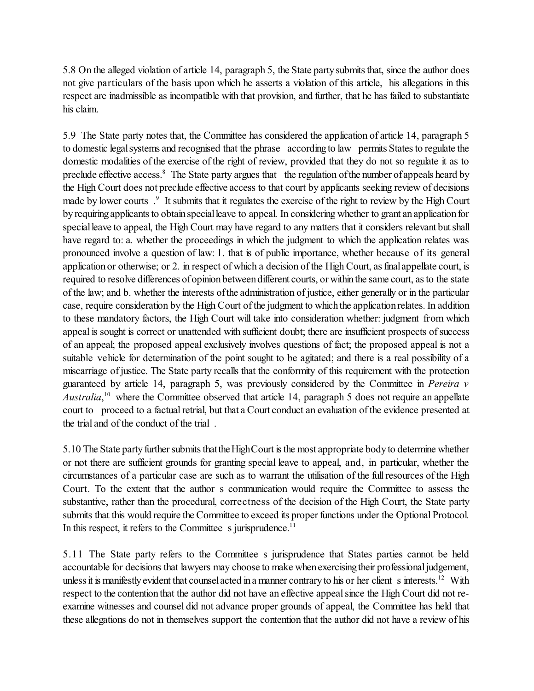5.8 On the alleged violation of article 14, paragraph 5, the State party submits that, since the author does not give particulars of the basis upon which he asserts a violation of this article, his allegations in this respect are inadmissible as incompatible with that provision, and further, that he has failed to substantiate his claim.

5.9 The State party notes that, the Committee has considered the application of article 14, paragraph 5 to domestic legal systems and recognised that the phrase 'according to law permits States to regulate the domestic modalities of the exercise of the right of review, provided that they do not so regulate it as to preclude effective access.<sup>8</sup> The State party argues that the regulation of the number of appeals heard by the High Court does not preclude effective access to that court by applicants seeking review of decisions made by lower courts. <sup>9</sup> It submits that it regulates the exercise of the right to review by the High Court by requiring applicants to obtain special leave to appeal. In considering whether to grant an application for special leave to appeal, the High Court may have regard to any matters that it considers relevant but shall have regard to: a. whether the proceedings in which the judgment to which the application relates was pronounced involve a question of law: 1. that is of public importance, whether because of its general applicationor otherwise; or 2. in respect of which a decision of the High Court, asfinalappellate court, is required to resolve differences of opinion between different courts, or within the same court, as to the state of the law; and b. whether the interests ofthe administration of justice, either generally or in the particular case, require consideration by the High Court of the judgment to whichthe applicationrelates. In addition to these mandatory factors, the High Court will take into consideration whether: judgment from which appeal is sought is correct or unattended with sufficient doubt; there are insufficient prospects of success of an appeal; the proposed appeal exclusively involves questions of fact; the proposed appeal is not a suitable vehicle for determination of the point sought to be agitated; and there is a real possibility of a miscarriage of justice. The State party recalls that the conformity of this requirement with the protection guaranteed by article 14, paragraph 5, was previously considered by the Committee in *Pereira v Australia*,<sup>10</sup> where the Committee observed that article 14, paragraph 5 does not require an appellate court to proceed to a factual retrial, but that a Court conduct an evaluation of the evidence presented at the trial and of the conduct of the trial.

5.10 The State party further submits thatthe HighCourt is the most appropriate body to determine whether or not there are sufficient grounds for granting special leave to appeal, and, in particular, whether the circumstances of a particular case are such as to warrant the utilisation of the fullresources of the High Court. To the extent that the author's communication would require the Committee to assess the substantive, rather than the procedural, correctness of the decision of the High Court, the State party submits that this would require the Committee to exceed its proper functions under the Optional Protocol. In this respect, it refers to the Committee's jurisprudence.<sup>11</sup>

5.11 The State party refers to the Committee s jurisprudence that States parties cannot be held accountable for decisions that lawyers may choose to make when exercising their professional judgement, unless it is manifestly evident that counsel acted in a manner contrary to his or her client s interests.<sup>12</sup> With respect to the contention that the author did not have an effective appeal since the High Court did not reexamine witnesses and counsel did not advance proper grounds of appeal, the Committee has held that these allegations do not in themselves support the contention that the author did not have a review of his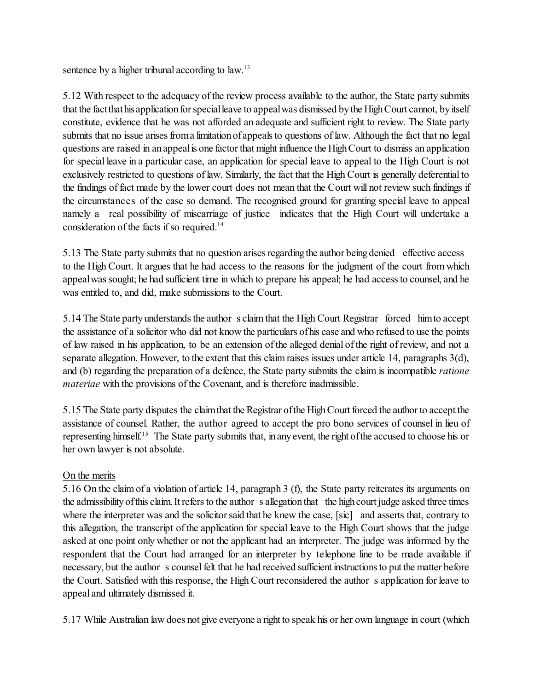sentence by a higher tribunal according to law.<sup>13</sup>

5.12 With respect to the adequacy of the review process available to the author, the State party submits that the factthathisapplication for special leave to appeal was dismissed by the High Court cannot, by itself constitute, evidence that he was not afforded an adequate and sufficient right to review. The State party submits that no issue arises from a limitation of appeals to questions of law. Although the fact that no legal questions are raised in an appeal is one factor that might influence the High Court to dismiss an application for special leave in a particular case, an application for special leave to appeal to the High Court is not exclusively restricted to questions of law. Similarly, the fact that the High Court is generally deferential to the findings of fact made by the lower court does not mean that the Court will not review such findings if the circumstances of the case so demand. The recognised ground for granting special leave to appeal namely a real possibility of miscarriage of justice indicates that the High Court will undertake a consideration of the facts if so required.<sup>14</sup>

5.13 The State party submits that no question arises regarding the author being denied effective access to the High Court. It argues that he had access to the reasons for the judgment of the court from which appealwassought; he had sufficient time in which to prepare his appeal; he had accessto counsel, and he was entitled to, and did, make submissions to the Court.

5.14 The State party understands the author's claim that the High Court Registrar "forced" him to accept the assistance of a solicitor who did not know the particulars of his case and who refused to use the points of law raised in his application, to be an extension of the alleged denial of the right of review, and not a separate allegation. However, to the extent that this claim raises issues under article 14, paragraphs 3(d), and (b) regarding the preparation of a defence, the State party submits the claim is incompatible *ratione materiae* with the provisions of the Covenant, and is therefore inadmissible.

5.15 The State party disputes the claim that the Registrar of the High Court forced the author to accept the assistance of counsel. Rather, the author agreed to accept the pro bono services of counsel in lieu of representing himself.<sup>15</sup> The State party submits that, in any event, the right of the accused to choose his or her own lawyer is not absolute.

## On the merits

5.16 On the claim of a violation of article 14, paragraph 3 (f), the State party reiterates its arguments on the admissibility of this claim. It refers to the author's allegation that "the high court judge asked three times where the interpreter was and the solicitor said that he knew the case, [sic] and asserts that, contrary to this allegation, the transcript of the application for special leave to the High Court shows that the judge asked at one point only whether or not the applicant had an interpreter. The judge was informed by the respondent that the Court had arranged for an interpreter by telephone line to be made available if necessary, but the author's counsel felt that he had received sufficient instructions to put the matter before the Court. Satisfied with this response, the High Court reconsidered the author's application for leave to appeal and ultimately dismissed it.

5.17 While Australian law does not give everyone a right to speak his or her own language in court (which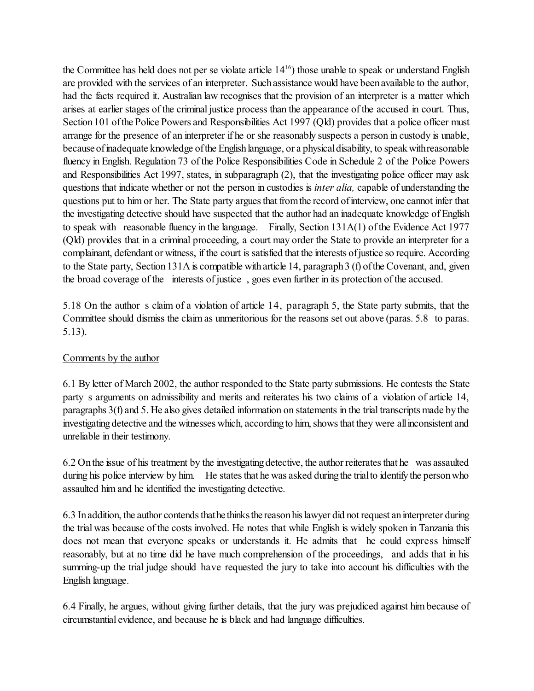the Committee has held does not per se violate article  $14<sup>16</sup>$  those unable to speak or understand English are provided with the services of an interpreter. Suchassistance would have beenavailable to the author, had the facts required it. Australian law recognises that the provision of an interpreter is a matter which arises at earlier stages of the criminal justice process than the appearance of the accused in court. Thus, Section 101 of the Police Powers and Responsibilities Act 1997 (Qld) provides that a police officer must arrange for the presence of an interpreter if he or she reasonably suspects a person in custody is unable, becauseof inadequate knowledge of the English language, or a physical disability, to speak withreasonable fluency in English. Regulation 73 of the Police Responsibilities Code in Schedule 2 of the Police Powers and Responsibilities Act 1997, states, in subparagraph (2), that the investigating police officer may ask questions that indicate whether or not the person in custodies is *inter alia,* capable of understanding the questions put to him or her. The State party argues that from the record of interview, one cannot infer that the investigating detective should have suspected that the author had an inadequate knowledge of English to speak with reasonable fluency in the language. Finally, Section  $131A(1)$  of the Evidence Act 1977 (Qld) provides that in a criminal proceeding, a court may order the State to provide an interpreter for a complainant, defendant or witness, if the court is satisfied that the interests of justice so require. According to the State party, Section 131A is compatible with article 14, paragraph 3 (f) of the Covenant, and, given the broad coverage of the 'interests of justice', goes even further in its protection of the accused.

5.18 On the author's claim of a violation of article 14, paragraph 5, the State party submits, that the Committee should dismiss the claim as unmeritorious for the reasons set out above (paras. 5.8 to paras. 5.13).

## Comments by the author

6.1 By letter of March 2002, the author responded to the State party submissions. He contests the State party's arguments on admissibility and merits and reiterates his two claims of a violation of article 14, paragraphs 3(f) and 5. He also gives detailed information on statements in the trial transcripts made by the investigating detective and the witnesses which, according to him, shows that they were all inconsistent and unreliable in their testimony.

6.2 On the issue of his treatment by the investigating detective, the author reiterates that he "was assaulted during his police interview by him. He states that he was asked during the trial to identify the person who assaulted him and he identified the investigating detective.

6.3 In addition, the author contends that he thinks the reason his lawyer did not request an interpreter during the trial was because of the costs involved. He notes that while English is widely spoken in Tanzania this does not mean that everyone speaks or understands it. He admits that the could express himself reasonably, but at no time did he have much comprehension of the proceedings, and adds that in his summing-up the trial judge should have requested the jury to take into account his difficulties with the English language.

6.4 Finally, he argues, without giving further details, that the jury was prejudiced against him because of circumstantial evidence, and because he is black and had language difficulties.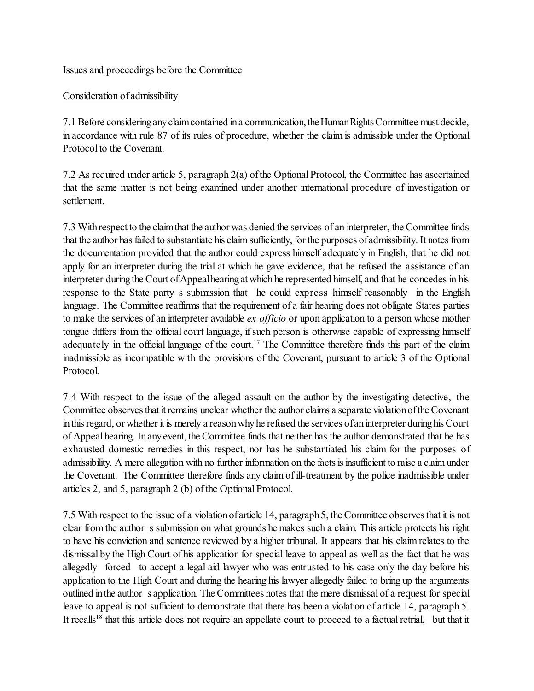## Issues and proceedings before the Committee

### Consideration of admissibility

7.1 Before considering any claim contained in a communication, the HumanRightsCommittee must decide, in accordance with rule 87 of its rules of procedure, whether the claim is admissible under the Optional Protocol to the Covenant.

7.2 As required under article 5, paragraph 2(a) ofthe Optional Protocol, the Committee has ascertained that the same matter is not being examined under another international procedure of investigation or settlement.

7.3 With respect to the claim that the author was denied the services of an interpreter, the Committee finds that the author has failed to substantiate his claim sufficiently, for the purposes of admissibility. It notes from the documentation provided that the author could express himself adequately in English, that he did not apply for an interpreter during the trial at which he gave evidence, that he refused the assistance of an interpreter during the Court of Appeal hearing at which he represented himself, and that he concedes in his response to the State party s submission that the could express himself reasonably in the English language. The Committee reaffirms that the requirement of a fair hearing does not obligate States parties to make the services of an interpreter available *ex officio* or upon application to a person whose mother tongue differs from the official court language, if such person is otherwise capable of expressing himself adequately in the official language of the court.<sup>17</sup> The Committee therefore finds this part of the claim inadmissible as incompatible with the provisions of the Covenant, pursuant to article 3 of the Optional Protocol.

7.4 With respect to the issue of the alleged assault on the author by the investigating detective, the Committee observes that it remains unclear whether the author claims a separate violation of the Covenant in this regard, or whether it is merely a reason why he refused the services of an interpreter during his Court of Appeal hearing. Inanyevent, the Committee finds that neither has the author demonstrated that he has exhausted domestic remedies in this respect, nor has he substantiated his claim for the purposes of admissibility. A mere allegation with no further information on the facts is insufficient to raise a claim under the Covenant. The Committee therefore finds any claim of ill-treatment by the police inadmissible under articles 2, and 5, paragraph 2 (b) of the Optional Protocol.

7.5 With respect to the issue of a violation of article 14, paragraph 5, the Committee observes that it is not clear from the author's submission on what grounds he makes such a claim. This article protects his right to have his conviction and sentence reviewed by a higher tribunal. It appears that his claim relates to the dismissal by the High Court of his application for special leave to appeal as well as the fact that he was allegedly forced to accept a legal aid lawyer who was entrusted to his case only the day before his application to the High Court and during the hearing his lawyer allegedly failed to bring up the arguments outlined inthe author's application. The Committees notes that the mere dismissal of a request for special leave to appeal is not sufficient to demonstrate that there has been a violation of article 14, paragraph 5. It recalls<sup>18</sup> that this article does not require an appellate court to proceed to a factual retrial, but that it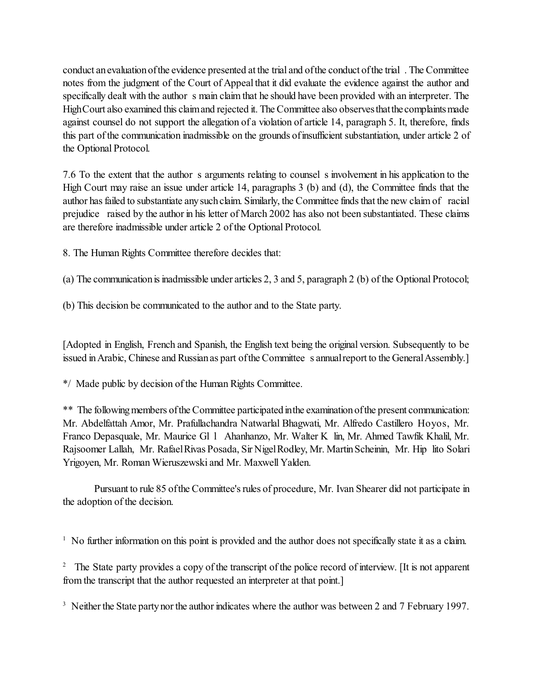conduct an evaluation of the evidence presented at the trial and of the conduct of the trial". The Committee notes from the judgment of the Court of Appeal that it did evaluate the evidence against the author and specifically dealt with the author s main claim that he should have been provided with an interpreter. The High Court also examined this claim and rejected it. The Committee also observes that the complaints made against counsel do not support the allegation of a violation of article 14, paragraph 5. It, therefore, finds this part of the communication inadmissible on the grounds ofinsufficient substantiation, under article 2 of the Optional Protocol.

7.6 To the extent that the author's arguments relating to counsel s involvement in his application to the High Court may raise an issue under article 14, paragraphs 3 (b) and (d), the Committee finds that the author has failed to substantiate any such claim. Similarly, the Committee finds that the new claim of "racial prejudice raised by the author in his letter of March 2002 has also not been substantiated. These claims are therefore inadmissible under article 2 of the Optional Protocol.

8. The Human Rights Committee therefore decides that:

(a) The communication is inadmissible under articles 2, 3 and 5, paragraph 2 (b) of the Optional Protocol;

(b) This decision be communicated to the author and to the State party.

[Adopted in English, French and Spanish, the English text being the original version. Subsequently to be issued in Arabic, Chinese and Russian as part of the Committee's annual report to the General Assembly.]

\*/ Made public by decision of the Human Rights Committee.

\*\* The following members of the Committee participated inthe examination of the present communication: Mr. Abdelfattah Amor, Mr. Prafullachandra Natwarlal Bhagwati, Mr. Alfredo Castillero Hoyos, Mr. Franco Depasquale, Mr. Maurice Gl l Ahanhanzo, Mr. Walter K lin, Mr. Ahmed Tawfik Khalil, Mr. Rajsoomer Lallah, Mr. Rafael Rivas Posada, Sir Nigel Rodley, Mr. Martin Scheinin, Mr. Hip lito Solari Yrigoyen, Mr. Roman Wieruszewski and Mr. Maxwell Yalden.

Pursuant to rule 85 of the Committee's rules of procedure, Mr. Ivan Shearer did not participate in the adoption of the decision.

<sup>1</sup> No further information on this point is provided and the author does not specifically state it as a claim.

<sup>2</sup> The State party provides a copy of the transcript of the police record of interview. [It is not apparent from the transcript that the author requested an interpreter at that point.]

 $3\,$  Neither the State party nor the authorindicates where the author was between 2 and 7 February 1997.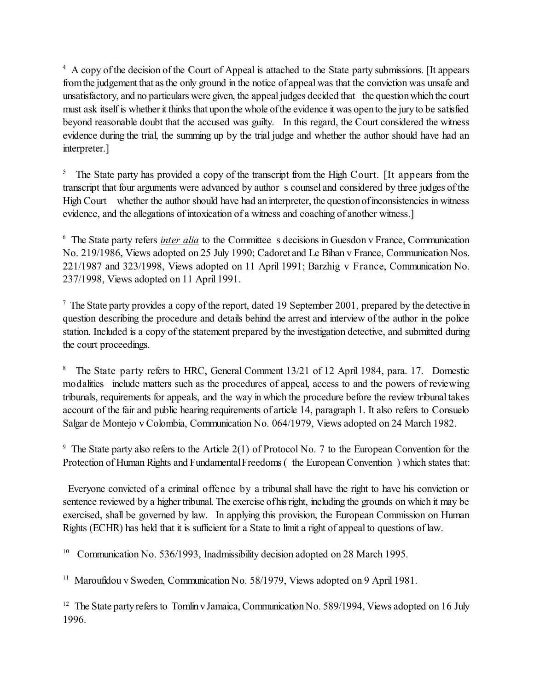<sup>4</sup> A copy of the decision of the Court of Appeal is attached to the State party submissions. [It appears fromthe judgement that asthe only ground in the notice of appeal was that the conviction was unsafe and unsatisfactory, and no particulars were given, the appeal judges decided that "the question which the court must ask itself is whether it thinks that upon the whole of the evidence it was open to the jury to be satisfied beyond reasonable doubt that the accused was guilty. In this regard, the Court considered the witness evidence during the trial, the summing up by the trial judge and whether the author should have had an interpreter.]

 The State party has provided a copy of the transcript from the High Court. [It appears from the 5 transcript that four arguments were advanced by author's counsel and considered by three judges of the High Court – whether the author should have had an interpreter, the question of inconsistencies in witness evidence, and the allegations of intoxication of a witness and coaching of another witness.]

<sup>6</sup> The State party refers *inter alia* to the Committee's decisions in Guesdon v France, Communication No. 219/1986, Views adopted on 25 July 1990; Cadoret and Le Bihan v France, Communication Nos. 221/1987 and 323/1998, Views adopted on 11 April 1991; Barzhig v France, Communication No. 237/1998, Views adopted on 11 April 1991.

 $^7$  The State party provides a copy of the report, dated 19 September 2001, prepared by the detective in question describing the procedure and details behind the arrest and interview of the author in the police station. Included is a copy of the statement prepared by the investigation detective, and submitted during the court proceedings.

The State party refers to HRC, General Comment 13/21 of 12 April 1984, para. 17. Domestic 8 modalities' include matters such as the procedures of appeal, access to and the powers of reviewing tribunals, requirements for appeals, and the way in which the procedure before the review tribunal takes account of the fair and public hearing requirements of article 14, paragraph 1. It also refers to Consuelo Salgar de Montejo v Colombia, Communication No. 064/1979, Views adopted on 24 March 1982.

 $9$  The State party also refers to the Article 2(1) of Protocol No. 7 to the European Convention for the Protection of Human Rights and Fundamental Freedoms ( $t$  the European Convention ) which states that:

'Everyone convicted of a criminal offence by a tribunal shall have the right to have his conviction or sentence reviewed by a higher tribunal. The exercise of his right, including the grounds on which it may be exercised, shall be governed by law. In applying this provision, the European Commission on Human Rights (ECHR) has held that it is sufficient for a State to limit a right of appeal to questions of law.

<sup>10</sup> Communication No. 536/1993, Inadmissibility decision adopted on 28 March 1995.

<sup>11</sup> Maroufidou v Sweden, Communication No. 58/1979, Views adopted on 9 April 1981.

<sup>12</sup> The State party refers to Tomlin v Jamaica, Communication No. 589/1994, Views adopted on 16 July 1996.